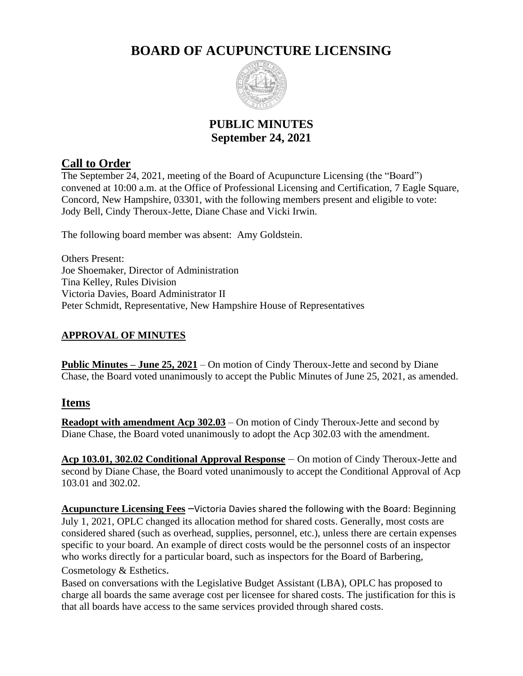# **BOARD OF ACUPUNCTURE LICENSING**



## **PUBLIC MINUTES September 24, 2021**

## **Call to Order**

The September 24, 2021, meeting of the Board of Acupuncture Licensing (the "Board") convened at 10:00 a.m. at the Office of Professional Licensing and Certification, 7 Eagle Square, Concord, New Hampshire, 03301, with the following members present and eligible to vote: Jody Bell, Cindy Theroux-Jette, Diane Chase and Vicki Irwin.

The following board member was absent: Amy Goldstein.

Others Present: Joe Shoemaker, Director of Administration Tina Kelley, Rules Division Victoria Davies, Board Administrator II Peter Schmidt, Representative, New Hampshire House of Representatives

### **APPROVAL OF MINUTES**

**Public Minutes – June 25, 2021** – On motion of Cindy Theroux-Jette and second by Diane Chase, the Board voted unanimously to accept the Public Minutes of June 25, 2021, as amended.

### **Items**

**Readopt with amendment Acp 302.03** – On motion of Cindy Theroux-Jette and second by Diane Chase, the Board voted unanimously to adopt the Acp 302.03 with the amendment.

**Acp 103.01, 302.02 Conditional Approval Response** – On motion of Cindy Theroux-Jette and second by Diane Chase, the Board voted unanimously to accept the Conditional Approval of Acp 103.01 and 302.02.

**Acupuncture Licensing Fees** –Victoria Davies shared the following with the Board: Beginning July 1, 2021, OPLC changed its allocation method for shared costs. Generally, most costs are considered shared (such as overhead, supplies, personnel, etc.), unless there are certain expenses specific to your board. An example of direct costs would be the personnel costs of an inspector who works directly for a particular board, such as inspectors for the Board of Barbering, Cosmetology & Esthetics.

Based on conversations with the Legislative Budget Assistant (LBA), OPLC has proposed to charge all boards the same average cost per licensee for shared costs. The justification for this is that all boards have access to the same services provided through shared costs.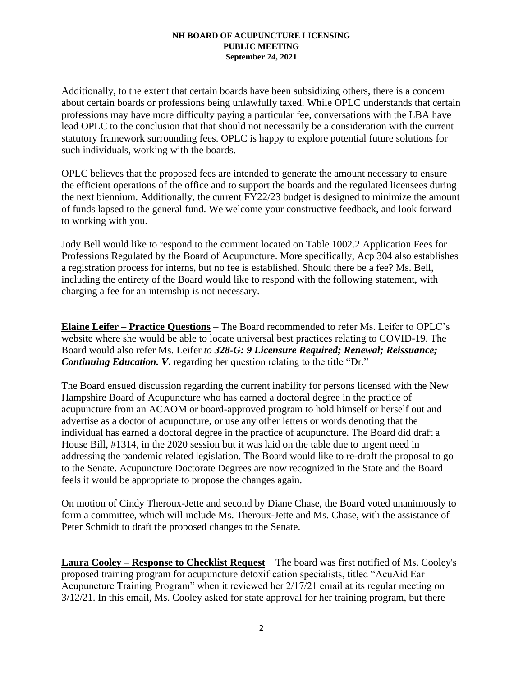Additionally, to the extent that certain boards have been subsidizing others, there is a concern about certain boards or professions being unlawfully taxed. While OPLC understands that certain professions may have more difficulty paying a particular fee, conversations with the LBA have lead OPLC to the conclusion that that should not necessarily be a consideration with the current statutory framework surrounding fees. OPLC is happy to explore potential future solutions for such individuals, working with the boards.

OPLC believes that the proposed fees are intended to generate the amount necessary to ensure the efficient operations of the office and to support the boards and the regulated licensees during the next biennium. Additionally, the current FY22/23 budget is designed to minimize the amount of funds lapsed to the general fund. We welcome your constructive feedback, and look forward to working with you.

Jody Bell would like to respond to the comment located on Table 1002.2 Application Fees for Professions Regulated by the Board of Acupuncture. More specifically, Acp 304 also establishes a registration process for interns, but no fee is established. Should there be a fee? Ms. Bell, including the entirety of the Board would like to respond with the following statement, with charging a fee for an internship is not necessary.

**Elaine Leifer – Practice Questions** – The Board recommended to refer Ms. Leifer to OPLC's website where she would be able to locate universal best practices relating to COVID-19. The Board would also refer Ms. Leifer *to 328-G: 9 Licensure Required; Renewal; Reissuance; Continuing Education. V*. regarding her question relating to the title "Dr."

The Board ensued discussion regarding the current inability for persons licensed with the New Hampshire Board of Acupuncture who has earned a doctoral degree in the practice of acupuncture from an ACAOM or board-approved program to hold himself or herself out and advertise as a doctor of acupuncture, or use any other letters or words denoting that the individual has earned a doctoral degree in the practice of acupuncture. The Board did draft a House Bill, #1314, in the 2020 session but it was laid on the table due to urgent need in addressing the pandemic related legislation. The Board would like to re-draft the proposal to go to the Senate. Acupuncture Doctorate Degrees are now recognized in the State and the Board feels it would be appropriate to propose the changes again.

On motion of Cindy Theroux-Jette and second by Diane Chase, the Board voted unanimously to form a committee, which will include Ms. Theroux-Jette and Ms. Chase, with the assistance of Peter Schmidt to draft the proposed changes to the Senate.

**Laura Cooley – Response to Checklist Request** – The board was first notified of Ms. Cooley's proposed training program for acupuncture detoxification specialists, titled "AcuAid Ear Acupuncture Training Program" when it reviewed her 2/17/21 email at its regular meeting on 3/12/21. In this email, Ms. Cooley asked for state approval for her training program, but there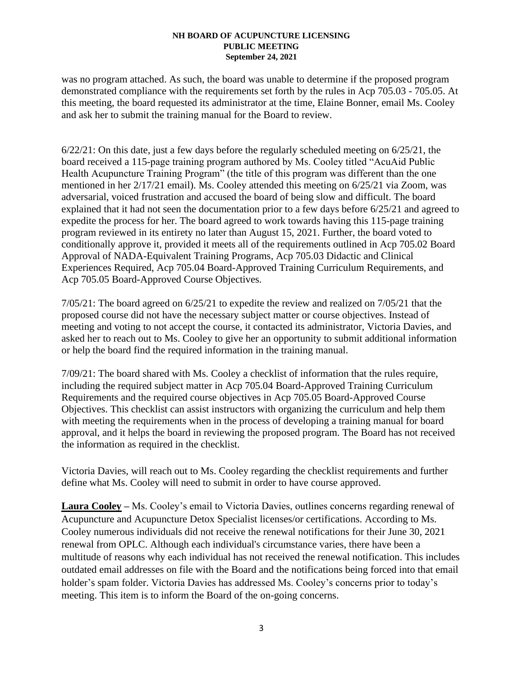was no program attached. As such, the board was unable to determine if the proposed program demonstrated compliance with the requirements set forth by the rules in Acp 705.03 - 705.05. At this meeting, the board requested its administrator at the time, Elaine Bonner, email Ms. Cooley and ask her to submit the training manual for the Board to review.

6/22/21: On this date, just a few days before the regularly scheduled meeting on 6/25/21, the board received a 115-page training program authored by Ms. Cooley titled "AcuAid Public Health Acupuncture Training Program" (the title of this program was different than the one mentioned in her 2/17/21 email). Ms. Cooley attended this meeting on 6/25/21 via Zoom, was adversarial, voiced frustration and accused the board of being slow and difficult. The board explained that it had not seen the documentation prior to a few days before 6/25/21 and agreed to expedite the process for her. The board agreed to work towards having this 115-page training program reviewed in its entirety no later than August 15, 2021. Further, the board voted to conditionally approve it, provided it meets all of the requirements outlined in Acp 705.02 Board Approval of NADA-Equivalent Training Programs, Acp 705.03 Didactic and Clinical Experiences Required, Acp 705.04 Board-Approved Training Curriculum Requirements, and Acp 705.05 Board-Approved Course Objectives.

7/05/21: The board agreed on 6/25/21 to expedite the review and realized on 7/05/21 that the proposed course did not have the necessary subject matter or course objectives. Instead of meeting and voting to not accept the course, it contacted its administrator, Victoria Davies, and asked her to reach out to Ms. Cooley to give her an opportunity to submit additional information or help the board find the required information in the training manual.

7/09/21: The board shared with Ms. Cooley a checklist of information that the rules require, including the required subject matter in Acp 705.04 Board-Approved Training Curriculum Requirements and the required course objectives in Acp 705.05 Board-Approved Course Objectives. This checklist can assist instructors with organizing the curriculum and help them with meeting the requirements when in the process of developing a training manual for board approval, and it helps the board in reviewing the proposed program. The Board has not received the information as required in the checklist.

Victoria Davies, will reach out to Ms. Cooley regarding the checklist requirements and further define what Ms. Cooley will need to submit in order to have course approved.

**Laura Cooley –** Ms. Cooley's email to Victoria Davies, outlines concerns regarding renewal of Acupuncture and Acupuncture Detox Specialist licenses/or certifications. According to Ms. Cooley numerous individuals did not receive the renewal notifications for their June 30, 2021 renewal from OPLC. Although each individual's circumstance varies, there have been a multitude of reasons why each individual has not received the renewal notification. This includes outdated email addresses on file with the Board and the notifications being forced into that email holder's spam folder. Victoria Davies has addressed Ms. Cooley's concerns prior to today's meeting. This item is to inform the Board of the on-going concerns.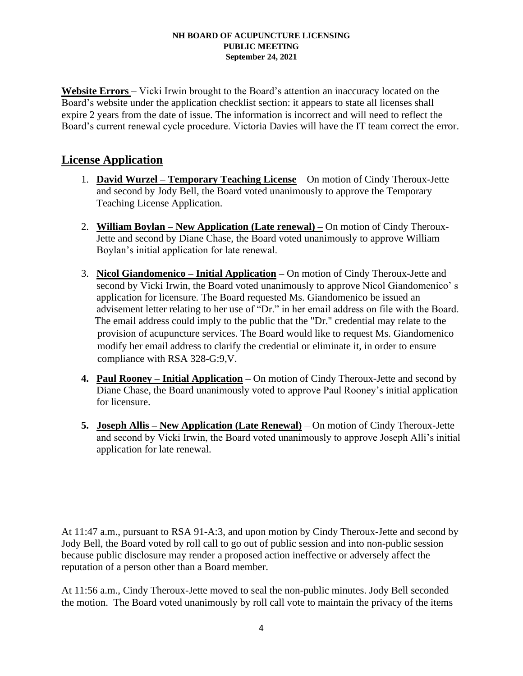Website Errors – Vicki Irwin brought to the Board's attention an inaccuracy located on the Board's website under the application checklist section: it appears to state all licenses shall expire 2 years from the date of issue. The information is incorrect and will need to reflect the Board's current renewal cycle procedure. Victoria Davies will have the IT team correct the error.

### **License Application**

- 1. **David Wurzel – Temporary Teaching License** On motion of Cindy Theroux-Jette and second by Jody Bell, the Board voted unanimously to approve the Temporary Teaching License Application.
- 2. **William Boylan – New Application (Late renewal) –** On motion of Cindy Theroux-Jette and second by Diane Chase, the Board voted unanimously to approve William Boylan's initial application for late renewal.
- 3. **Nicol Giandomenico – Initial Application** *–* On motion of Cindy Theroux-Jette and second by Vicki Irwin, the Board voted unanimously to approve Nicol Giandomenico' s application for licensure. The Board requested Ms. Giandomenico be issued an advisement letter relating to her use of "Dr." in her email address on file with the Board. The email address could imply to the public that the "Dr." credential may relate to the provision of acupuncture services. The Board would like to request Ms. Giandomenico modify her email address to clarify the credential or eliminate it, in order to ensure compliance with RSA 328-G:9,V.
- **4. Paul Rooney – Initial Application –** On motion of Cindy Theroux-Jette and second by Diane Chase, the Board unanimously voted to approve Paul Rooney's initial application for licensure.
- **5. Joseph Allis – New Application (Late Renewal)** On motion of Cindy Theroux-Jette and second by Vicki Irwin, the Board voted unanimously to approve Joseph Alli's initial application for late renewal.

At 11:47 a.m., pursuant to RSA 91-A:3, and upon motion by Cindy Theroux-Jette and second by Jody Bell, the Board voted by roll call to go out of public session and into non-public session because public disclosure may render a proposed action ineffective or adversely affect the reputation of a person other than a Board member.

At 11:56 a.m., Cindy Theroux-Jette moved to seal the non-public minutes. Jody Bell seconded the motion. The Board voted unanimously by roll call vote to maintain the privacy of the items